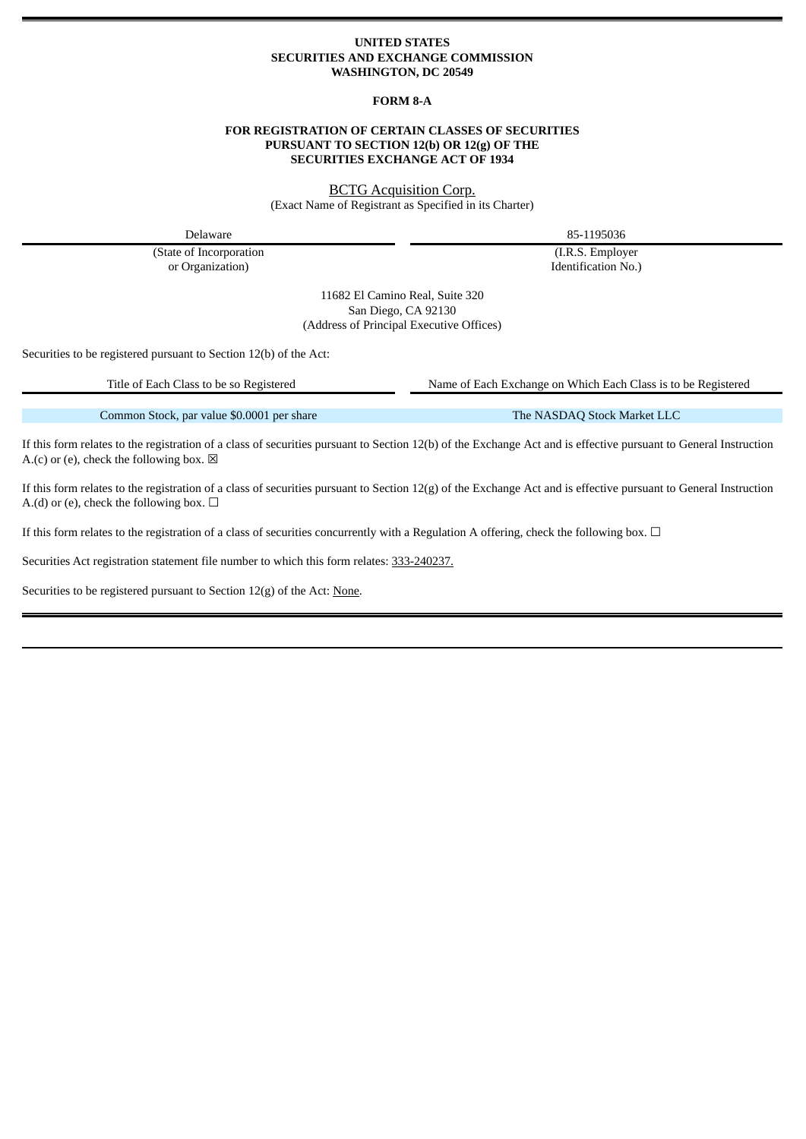#### **UNITED STATES SECURITIES AND EXCHANGE COMMISSION WASHINGTON, DC 20549**

### **FORM 8-A**

#### **FOR REGISTRATION OF CERTAIN CLASSES OF SECURITIES PURSUANT TO SECTION 12(b) OR 12(g) OF THE SECURITIES EXCHANGE ACT OF 1934**

BCTG Acquisition Corp. (Exact Name of Registrant as Specified in its Charter)

(State of Incorporation (I.R.S. Employer or Organization) and Identification No.) Identification No.

Delaware 85-1195036

11682 El Camino Real, Suite 320 San Diego, CA 92130 (Address of Principal Executive Offices)

Securities to be registered pursuant to Section 12(b) of the Act:

Title of Each Class to be so Registered Name of Each Exchange on Which Each Class is to be Registered

Common Stock, par value \$0.0001 per share The NASDAQ Stock Market LLC

If this form relates to the registration of a class of securities pursuant to Section 12(b) of the Exchange Act and is effective pursuant to General Instruction A.(c) or (e), check the following box.  $\boxtimes$ 

If this form relates to the registration of a class of securities pursuant to Section 12(g) of the Exchange Act and is effective pursuant to General Instruction A.(d) or (e), check the following box.  $\Box$ 

If this form relates to the registration of a class of securities concurrently with a Regulation A offering, check the following box.  $\Box$ 

Securities Act registration statement file number to which this form relates: 333-240237.

Securities to be registered pursuant to Section 12(g) of the Act: None.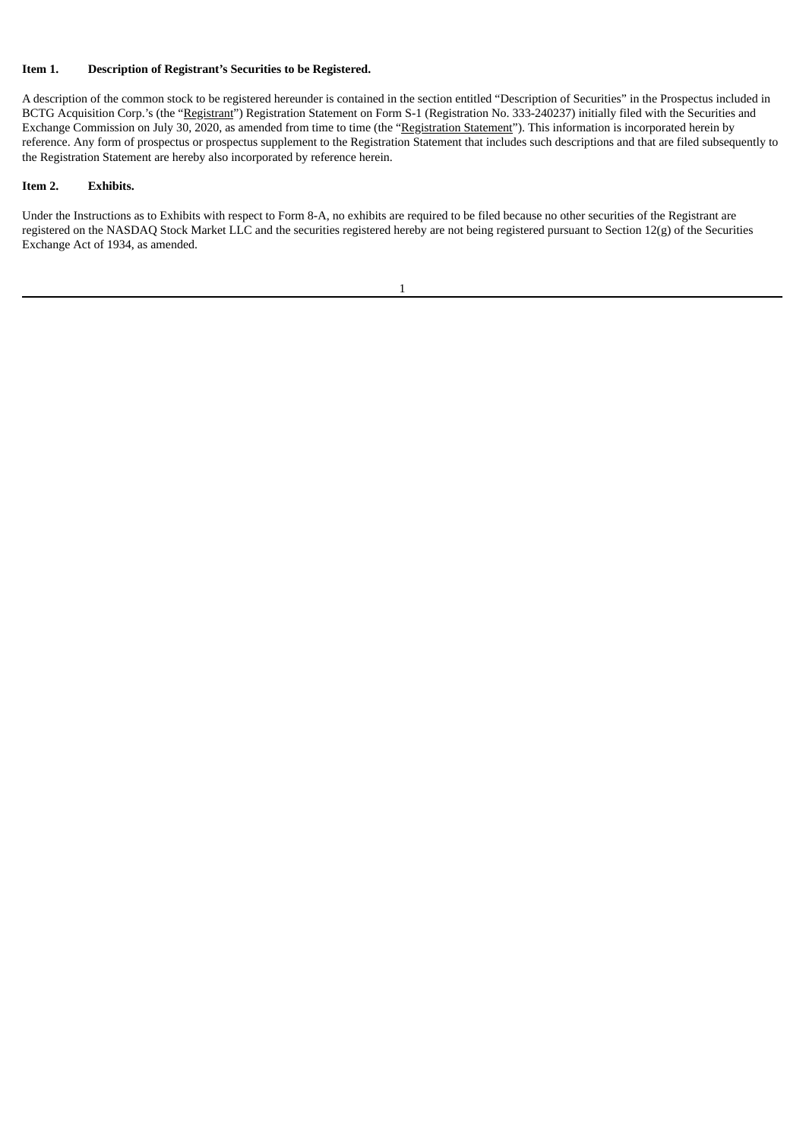### **Item 1. Description of Registrant's Securities to be Registered.**

A description of the common stock to be registered hereunder is contained in the section entitled "Description of Securities" in the Prospectus included in BCTG Acquisition Corp.'s (the "Registrant") Registration Statement on Form S-1 (Registration No. 333-240237) initially filed with the Securities and Exchange Commission on July 30, 2020, as amended from time to time (the "Registration Statement"). This information is incorporated herein by reference. Any form of prospectus or prospectus supplement to the Registration Statement that includes such descriptions and that are filed subsequently to the Registration Statement are hereby also incorporated by reference herein.

## **Item 2. Exhibits.**

Under the Instructions as to Exhibits with respect to Form 8-A, no exhibits are required to be filed because no other securities of the Registrant are registered on the NASDAQ Stock Market LLC and the securities registered hereby are not being registered pursuant to Section 12(g) of the Securities Exchange Act of 1934, as amended.

| I |  |  |  |
|---|--|--|--|
|   |  |  |  |
|   |  |  |  |
|   |  |  |  |
|   |  |  |  |